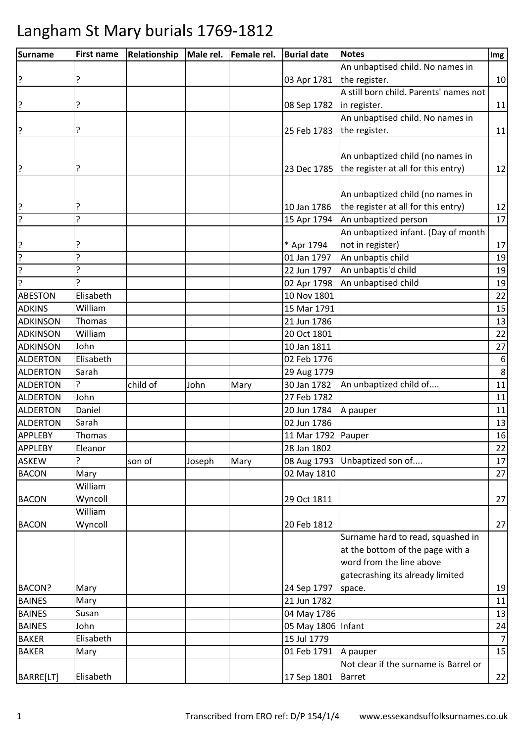| <b>Surname</b>  | <b>First name</b> | Relationship |        | Male rel.   Female rel. | <b>Burial date</b> | <b>Notes</b>                                      | Img              |
|-----------------|-------------------|--------------|--------|-------------------------|--------------------|---------------------------------------------------|------------------|
|                 |                   |              |        |                         |                    | An unbaptised child. No names in                  |                  |
| ?               | ?                 |              |        |                         | 03 Apr 1781        | the register.                                     | 10               |
|                 |                   |              |        |                         |                    | A still born child. Parents' names not            |                  |
| ?               | ?                 |              |        |                         | 08 Sep 1782        | in register.                                      | 11               |
|                 |                   |              |        |                         |                    | An unbaptised child. No names in                  |                  |
| ?               | ?                 |              |        |                         | 25 Feb 1783        | the register.                                     | 11               |
|                 |                   |              |        |                         |                    |                                                   |                  |
|                 |                   |              |        |                         |                    | An unbaptized child (no names in                  |                  |
| ?               | ?                 |              |        |                         |                    | 23 Dec 1785   the register at all for this entry) | 12               |
|                 |                   |              |        |                         |                    |                                                   |                  |
|                 |                   |              |        |                         |                    | An unbaptized child (no names in                  |                  |
| ?               |                   |              |        |                         | 10 Jan 1786        | the register at all for this entry)               | 12               |
| ?               | 7                 |              |        |                         | 15 Apr 1794        | An unbaptized person                              | 17               |
|                 |                   |              |        |                         |                    | An unbaptized infant. (Day of month               |                  |
| ?               |                   |              |        |                         | * Apr 1794         | not in register)                                  | 17               |
| ?               | ŗ                 |              |        |                         | 01 Jan 1797        | An unbaptis child                                 | 19               |
| ?               | ?                 |              |        |                         | 22 Jun 1797        | An unbaptis'd child                               | 19               |
| ?               | ς                 |              |        |                         | 02 Apr 1798        | An unbaptised child                               | 19               |
| <b>ABESTON</b>  | Elisabeth         |              |        |                         | 10 Nov 1801        |                                                   | 22               |
| <b>ADKINS</b>   | William           |              |        |                         | 15 Mar 1791        |                                                   | 15               |
| <b>ADKINSON</b> | Thomas            |              |        |                         | 21 Jun 1786        |                                                   | 13               |
| <b>ADKINSON</b> | William           |              |        |                         | 20 Oct 1801        |                                                   | 22               |
| <b>ADKINSON</b> | John              |              |        |                         | 10 Jan 1811        |                                                   | 27               |
| <b>ALDERTON</b> | Elisabeth         |              |        |                         | 02 Feb 1776        |                                                   | $\boldsymbol{6}$ |
| <b>ALDERTON</b> | Sarah             |              |        |                         | 29 Aug 1779        |                                                   | 8                |
| <b>ALDERTON</b> | 5.                | child of     | John   | Mary                    | 30 Jan 1782        | An unbaptized child of                            | 11               |
| <b>ALDERTON</b> | John              |              |        |                         | 27 Feb 1782        |                                                   | 11               |
| <b>ALDERTON</b> | Daniel            |              |        |                         | 20 Jun 1784        | A pauper                                          | 11               |
| <b>ALDERTON</b> | Sarah             |              |        |                         | 02 Jun 1786        |                                                   | 13               |
| <b>APPLEBY</b>  | Thomas            |              |        |                         | 11 Mar 1792 Pauper |                                                   | 16               |
| <b>APPLEBY</b>  | Eleanor           |              |        |                         | 28 Jan 1802        |                                                   | 22               |
| <b>ASKEW</b>    | ç                 | son of       | Joseph | Mary                    | 08 Aug 1793        | Unbaptized son of                                 | 17               |
| <b>BACON</b>    | Mary              |              |        |                         | 02 May 1810        |                                                   | 27               |
|                 | William           |              |        |                         |                    |                                                   |                  |
| <b>BACON</b>    | Wyncoll           |              |        |                         | 29 Oct 1811        |                                                   | 27               |
|                 | William           |              |        |                         |                    |                                                   |                  |
| <b>BACON</b>    | Wyncoll           |              |        |                         | 20 Feb 1812        |                                                   | 27               |
|                 |                   |              |        |                         |                    | Surname hard to read, squashed in                 |                  |
|                 |                   |              |        |                         |                    | at the bottom of the page with a                  |                  |
|                 |                   |              |        |                         |                    | word from the line above                          |                  |
|                 |                   |              |        |                         |                    | gatecrashing its already limited                  |                  |
| BACON?          | Mary              |              |        |                         | 24 Sep 1797        | space.                                            | 19               |
| <b>BAINES</b>   | Mary              |              |        |                         | 21 Jun 1782        |                                                   | 11               |
| <b>BAINES</b>   | Susan             |              |        |                         | 04 May 1786        |                                                   | 13               |
| <b>BAINES</b>   | John              |              |        |                         | 05 May 1806 Infant |                                                   | 24               |
| <b>BAKER</b>    | Elisabeth         |              |        |                         | 15 Jul 1779        |                                                   | $\overline{7}$   |
| <b>BAKER</b>    | Mary              |              |        |                         | 01 Feb 1791        | A pauper                                          | 15               |
|                 |                   |              |        |                         |                    | Not clear if the surname is Barrel or             |                  |
| BARRE[LT]       | Elisabeth         |              |        |                         | 17 Sep 1801        | <b>Barret</b>                                     | 22               |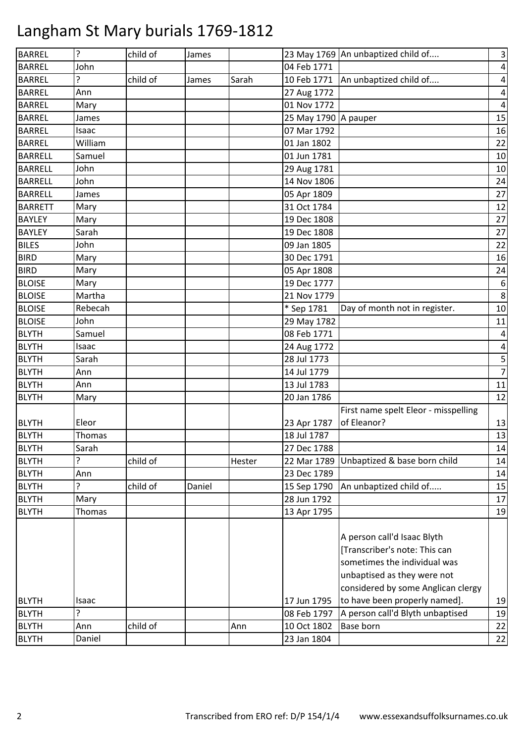| <b>BARREL</b>  | ?       | child of | James  |        |                      | 23 May 1769 An unbaptized child of   | $\mathsf 3$    |
|----------------|---------|----------|--------|--------|----------------------|--------------------------------------|----------------|
| <b>BARREL</b>  | John    |          |        |        | 04 Feb 1771          |                                      | $\overline{4}$ |
| <b>BARREL</b>  | 5       | child of | James  | Sarah  | 10 Feb 1771          | An unbaptized child of               | 4              |
| <b>BARREL</b>  | Ann     |          |        |        | 27 Aug 1772          |                                      | 4              |
| <b>BARREL</b>  | Mary    |          |        |        | 01 Nov 1772          |                                      | 4              |
| <b>BARREL</b>  | James   |          |        |        | 25 May 1790 A pauper |                                      | 15             |
| <b>BARREL</b>  | Isaac   |          |        |        | 07 Mar 1792          |                                      | 16             |
| <b>BARREL</b>  | William |          |        |        | 01 Jan 1802          |                                      | 22             |
| <b>BARRELL</b> | Samuel  |          |        |        | 01 Jun 1781          |                                      | 10             |
| <b>BARRELL</b> | John    |          |        |        | 29 Aug 1781          |                                      | 10             |
| <b>BARRELL</b> | John    |          |        |        | 14 Nov 1806          |                                      | 24             |
| <b>BARRELL</b> | James   |          |        |        | 05 Apr 1809          |                                      | 27             |
| <b>BARRETT</b> | Mary    |          |        |        | 31 Oct 1784          |                                      | 12             |
| <b>BAYLEY</b>  | Mary    |          |        |        | 19 Dec 1808          |                                      | 27             |
| <b>BAYLEY</b>  | Sarah   |          |        |        | 19 Dec 1808          |                                      | 27             |
| <b>BILES</b>   | John    |          |        |        | 09 Jan 1805          |                                      | 22             |
| <b>BIRD</b>    | Mary    |          |        |        | 30 Dec 1791          |                                      | 16             |
| <b>BIRD</b>    | Mary    |          |        |        | 05 Apr 1808          |                                      | 24             |
| <b>BLOISE</b>  | Mary    |          |        |        | 19 Dec 1777          |                                      | 6              |
| <b>BLOISE</b>  | Martha  |          |        |        | 21 Nov 1779          |                                      | 8              |
| <b>BLOISE</b>  | Rebecah |          |        |        | * Sep 1781           | Day of month not in register.        | 10             |
| <b>BLOISE</b>  | John    |          |        |        | 29 May 1782          |                                      | 11             |
| <b>BLYTH</b>   | Samuel  |          |        |        | 08 Feb 1771          |                                      | 4              |
| <b>BLYTH</b>   | Isaac   |          |        |        | 24 Aug 1772          |                                      | 4              |
| <b>BLYTH</b>   | Sarah   |          |        |        | 28 Jul 1773          |                                      | 5              |
| <b>BLYTH</b>   | Ann     |          |        |        | 14 Jul 1779          |                                      | $\overline{7}$ |
| <b>BLYTH</b>   | Ann     |          |        |        | 13 Jul 1783          |                                      | 11             |
| <b>BLYTH</b>   | Mary    |          |        |        | 20 Jan 1786          |                                      | 12             |
|                |         |          |        |        |                      | First name spelt Eleor - misspelling |                |
| <b>BLYTH</b>   | Eleor   |          |        |        | 23 Apr 1787          | of Eleanor?                          | 13             |
| <b>BLYTH</b>   | Thomas  |          |        |        | 18 Jul 1787          |                                      | 13             |
| <b>BLYTH</b>   | Sarah   |          |        |        | 27 Dec 1788          |                                      | 14             |
| <b>BLYTH</b>   | 5       | child of |        | Hester | 22 Mar 1789          | Unbaptized & base born child         | 14             |
| <b>BLYTH</b>   | Ann     |          |        |        | 23 Dec 1789          |                                      | 14             |
| <b>BLYTH</b>   | ?       | child of | Daniel |        | 15 Sep 1790          | An unbaptized child of               | 15             |
| <b>BLYTH</b>   | Mary    |          |        |        | 28 Jun 1792          |                                      | 17             |
| <b>BLYTH</b>   | Thomas  |          |        |        | 13 Apr 1795          |                                      | 19             |
|                |         |          |        |        |                      |                                      |                |
|                |         |          |        |        |                      | A person call'd Isaac Blyth          |                |
|                |         |          |        |        |                      | [Transcriber's note: This can        |                |
|                |         |          |        |        |                      | sometimes the individual was         |                |
|                |         |          |        |        |                      | unbaptised as they were not          |                |
|                |         |          |        |        |                      | considered by some Anglican clergy   |                |
| <b>BLYTH</b>   | Isaac   |          |        |        | 17 Jun 1795          | to have been properly named].        | 19             |
| <b>BLYTH</b>   | ?       |          |        |        | 08 Feb 1797          | A person call'd Blyth unbaptised     | 19             |
| <b>BLYTH</b>   | Ann     | child of |        | Ann    | 10 Oct 1802          | Base born                            | 22             |
| <b>BLYTH</b>   | Daniel  |          |        |        | 23 Jan 1804          |                                      | 22             |
|                |         |          |        |        |                      |                                      |                |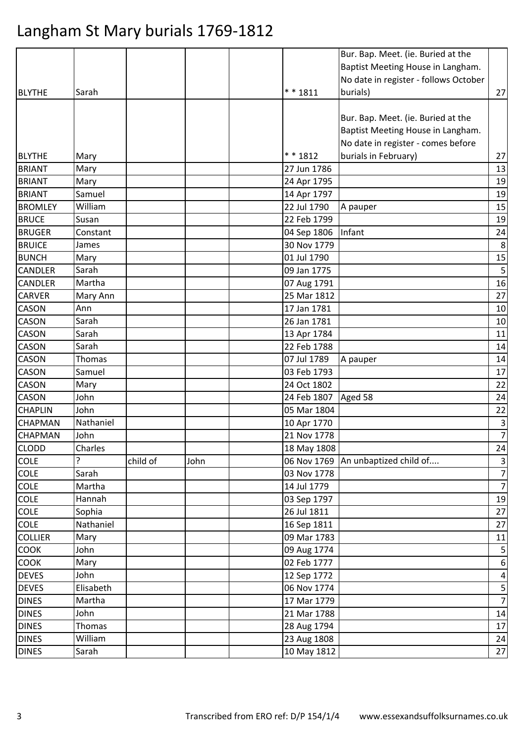|                             |           |          |      |                            | Bur. Bap. Meet. (ie. Buried at the    |                         |
|-----------------------------|-----------|----------|------|----------------------------|---------------------------------------|-------------------------|
|                             |           |          |      |                            | Baptist Meeting House in Langham.     |                         |
|                             |           |          |      |                            | No date in register - follows October |                         |
| <b>BLYTHE</b>               | Sarah     |          |      | $* * 1811$                 | burials)                              | 27                      |
|                             |           |          |      |                            |                                       |                         |
|                             |           |          |      |                            | Bur. Bap. Meet. (ie. Buried at the    |                         |
|                             |           |          |      |                            | Baptist Meeting House in Langham.     |                         |
|                             |           |          |      |                            | No date in register - comes before    |                         |
| <b>BLYTHE</b>               | Mary      |          |      | * * 1812                   | burials in February)                  | 27                      |
| <b>BRIANT</b>               | Mary      |          |      | 27 Jun 1786                |                                       | 13                      |
| <b>BRIANT</b>               | Mary      |          |      | 24 Apr 1795                |                                       | 19                      |
| <b>BRIANT</b>               | Samuel    |          |      | 14 Apr 1797                |                                       | 19                      |
| <b>BROMLEY</b>              | William   |          |      | 22 Jul 1790                | A pauper                              | 15                      |
| <b>BRUCE</b>                | Susan     |          |      | 22 Feb 1799                |                                       | 19                      |
| <b>BRUGER</b>               | Constant  |          |      | 04 Sep 1806                | Infant                                | 24                      |
| <b>BRUICE</b>               | James     |          |      | 30 Nov 1779                |                                       | 8                       |
| <b>BUNCH</b>                | Mary      |          |      | 01 Jul 1790                |                                       | 15                      |
| <b>CANDLER</b>              | Sarah     |          |      | 09 Jan 1775                |                                       | $\mathsf S$             |
| <b>CANDLER</b>              | Martha    |          |      | 07 Aug 1791                |                                       | 16                      |
| <b>CARVER</b>               | Mary Ann  |          |      | 25 Mar 1812                |                                       | 27                      |
| <b>CASON</b>                | Ann       |          |      | 17 Jan 1781                |                                       | 10                      |
| <b>CASON</b>                | Sarah     |          |      | 26 Jan 1781                |                                       | 10                      |
| CASON                       | Sarah     |          |      | 13 Apr 1784                |                                       | 11                      |
| <b>CASON</b>                | Sarah     |          |      | 22 Feb 1788                |                                       | 14                      |
| <b>CASON</b>                | Thomas    |          |      | 07 Jul 1789                | A pauper                              | 14                      |
| <b>CASON</b>                | Samuel    |          |      | 03 Feb 1793                |                                       | 17                      |
| <b>CASON</b>                | Mary      |          |      | 24 Oct 1802                |                                       | 22                      |
| <b>CASON</b>                | John      |          |      | 24 Feb 1807                | Aged 58                               | 24                      |
| <b>CHAPLIN</b>              | John      |          |      | 05 Mar 1804                |                                       | 22                      |
| <b>CHAPMAN</b>              | Nathaniel |          |      | 10 Apr 1770                |                                       | $\mathbf{3}$            |
| <b>CHAPMAN</b>              | John      |          |      | 21 Nov 1778                |                                       | $\overline{7}$          |
| <b>CLODD</b>                | Charles   |          |      | 18 May 1808                |                                       | 24                      |
| <b>COLE</b>                 |           | child of | John |                            | 06 Nov 1769 An unbaptized child of    | $\overline{3}$          |
| <b>COLE</b>                 | Sarah     |          |      | 03 Nov 1778                |                                       | $\overline{7}$          |
| <b>COLE</b>                 | Martha    |          |      | 14 Jul 1779                |                                       | $\overline{7}$          |
| <b>COLE</b>                 | Hannah    |          |      | 03 Sep 1797                |                                       | 19                      |
| <b>COLE</b>                 | Sophia    |          |      | 26 Jul 1811                |                                       | 27                      |
| <b>COLE</b>                 | Nathaniel |          |      | 16 Sep 1811                |                                       | 27                      |
| <b>COLLIER</b>              | Mary      |          |      | 09 Mar 1783                |                                       | 11                      |
| <b>COOK</b>                 | John      |          |      | 09 Aug 1774                |                                       | $\overline{\mathbf{5}}$ |
|                             | Mary      |          |      | 02 Feb 1777                |                                       |                         |
| <b>COOK</b><br><b>DEVES</b> | John      |          |      |                            |                                       | $\boldsymbol{6}$        |
| <b>DEVES</b>                | Elisabeth |          |      | 12 Sep 1772<br>06 Nov 1774 |                                       | $\vert 4 \vert$<br>5    |
|                             |           |          |      |                            |                                       | $\overline{7}$          |
| <b>DINES</b>                | Martha    |          |      | 17 Mar 1779                |                                       |                         |
| <b>DINES</b>                | John      |          |      | 21 Mar 1788                |                                       | 14                      |
| <b>DINES</b>                | Thomas    |          |      | 28 Aug 1794                |                                       | 17                      |
| <b>DINES</b>                | William   |          |      | 23 Aug 1808                |                                       | 24                      |
| <b>DINES</b>                | Sarah     |          |      | 10 May 1812                |                                       | 27                      |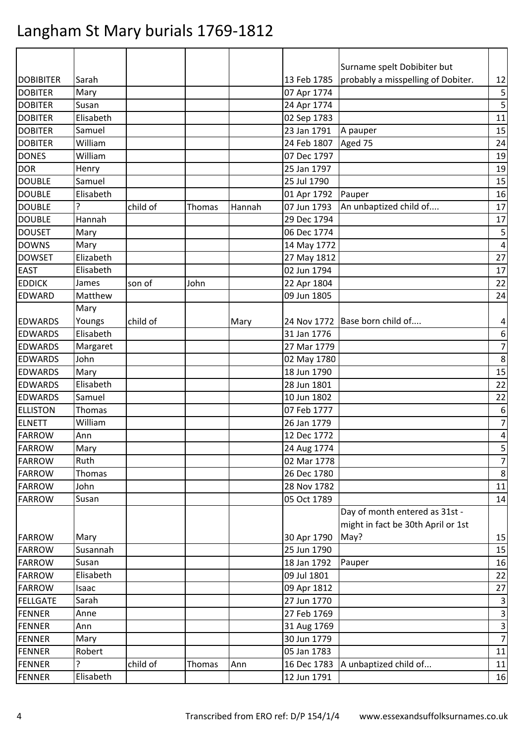|                  |           |          |               |        |             | Surname spelt Dobibiter but        |                |
|------------------|-----------|----------|---------------|--------|-------------|------------------------------------|----------------|
| <b>DOBIBITER</b> | Sarah     |          |               |        | 13 Feb 1785 | probably a misspelling of Dobiter. | 12             |
| <b>DOBITER</b>   | Mary      |          |               |        | 07 Apr 1774 |                                    | 5              |
| <b>DOBITER</b>   | Susan     |          |               |        | 24 Apr 1774 |                                    | 5              |
| <b>DOBITER</b>   | Elisabeth |          |               |        | 02 Sep 1783 |                                    | 11             |
| <b>DOBITER</b>   | Samuel    |          |               |        | 23 Jan 1791 | A pauper                           | 15             |
| <b>DOBITER</b>   | William   |          |               |        | 24 Feb 1807 | Aged 75                            | 24             |
| <b>DONES</b>     | William   |          |               |        | 07 Dec 1797 |                                    | 19             |
| <b>DOR</b>       | Henry     |          |               |        | 25 Jan 1797 |                                    | 19             |
| <b>DOUBLE</b>    | Samuel    |          |               |        | 25 Jul 1790 |                                    | 15             |
| <b>DOUBLE</b>    | Elisabeth |          |               |        | 01 Apr 1792 | Pauper                             | 16             |
| <b>DOUBLE</b>    | ?         | child of | Thomas        | Hannah | 07 Jun 1793 | An unbaptized child of             | 17             |
| <b>DOUBLE</b>    | Hannah    |          |               |        | 29 Dec 1794 |                                    | 17             |
| <b>DOUSET</b>    | Mary      |          |               |        | 06 Dec 1774 |                                    | 5              |
| <b>DOWNS</b>     | Mary      |          |               |        | 14 May 1772 |                                    | $\overline{4}$ |
| <b>DOWSET</b>    | Elizabeth |          |               |        | 27 May 1812 |                                    | 27             |
| <b>EAST</b>      | Elisabeth |          |               |        | 02 Jun 1794 |                                    | 17             |
| <b>EDDICK</b>    | James     | son of   | John          |        | 22 Apr 1804 |                                    | 22             |
| <b>EDWARD</b>    | Matthew   |          |               |        | 09 Jun 1805 |                                    | 24             |
|                  | Mary      |          |               |        |             |                                    |                |
| <b>EDWARDS</b>   | Youngs    | child of |               | Mary   |             | 24 Nov 1772 Base born child of     | 4              |
| <b>EDWARDS</b>   | Elisabeth |          |               |        | 31 Jan 1776 |                                    | 6              |
| <b>EDWARDS</b>   | Margaret  |          |               |        | 27 Mar 1779 |                                    | $\overline{7}$ |
| <b>EDWARDS</b>   | John      |          |               |        | 02 May 1780 |                                    | 8              |
| <b>EDWARDS</b>   | Mary      |          |               |        | 18 Jun 1790 |                                    | 15             |
| <b>EDWARDS</b>   | Elisabeth |          |               |        | 28 Jun 1801 |                                    | 22             |
| <b>EDWARDS</b>   | Samuel    |          |               |        | 10 Jun 1802 |                                    | 22             |
| <b>ELLISTON</b>  | Thomas    |          |               |        | 07 Feb 1777 |                                    | 6              |
| <b>ELNETT</b>    | William   |          |               |        | 26 Jan 1779 |                                    | $\overline{7}$ |
| <b>FARROW</b>    | Ann       |          |               |        | 12 Dec 1772 |                                    | 4              |
| <b>FARROW</b>    | Mary      |          |               |        | 24 Aug 1774 |                                    | 5              |
| <b>FARROW</b>    | Ruth      |          |               |        | 02 Mar 1778 |                                    | $\overline{7}$ |
| <b>FARROW</b>    | Thomas    |          |               |        | 26 Dec 1780 |                                    | 8              |
| <b>FARROW</b>    | John      |          |               |        | 28 Nov 1782 |                                    | 11             |
| <b>FARROW</b>    | Susan     |          |               |        | 05 Oct 1789 |                                    | 14             |
|                  |           |          |               |        |             | Day of month entered as 31st -     |                |
|                  |           |          |               |        |             | might in fact be 30th April or 1st |                |
| <b>FARROW</b>    | Mary      |          |               |        | 30 Apr 1790 | May?                               | 15             |
| <b>FARROW</b>    | Susannah  |          |               |        | 25 Jun 1790 |                                    | 15             |
| <b>FARROW</b>    | Susan     |          |               |        | 18 Jan 1792 | Pauper                             | 16             |
| <b>FARROW</b>    | Elisabeth |          |               |        | 09 Jul 1801 |                                    | 22             |
| <b>FARROW</b>    | Isaac     |          |               |        | 09 Apr 1812 |                                    | 27             |
| <b>FELLGATE</b>  | Sarah     |          |               |        | 27 Jun 1770 |                                    | $\mathsf{3}$   |
| <b>FENNER</b>    | Anne      |          |               |        | 27 Feb 1769 |                                    | $\mathsf{3}$   |
| <b>FENNER</b>    | Ann       |          |               |        | 31 Aug 1769 |                                    | 3              |
| <b>FENNER</b>    | Mary      |          |               |        | 30 Jun 1779 |                                    | $\overline{7}$ |
| <b>FENNER</b>    | Robert    |          |               |        | 05 Jan 1783 |                                    | 11             |
| <b>FENNER</b>    | ?         | child of | <b>Thomas</b> | Ann    | 16 Dec 1783 | A unbaptized child of              | 11             |
| <b>FENNER</b>    | Elisabeth |          |               |        | 12 Jun 1791 |                                    | 16             |
|                  |           |          |               |        |             |                                    |                |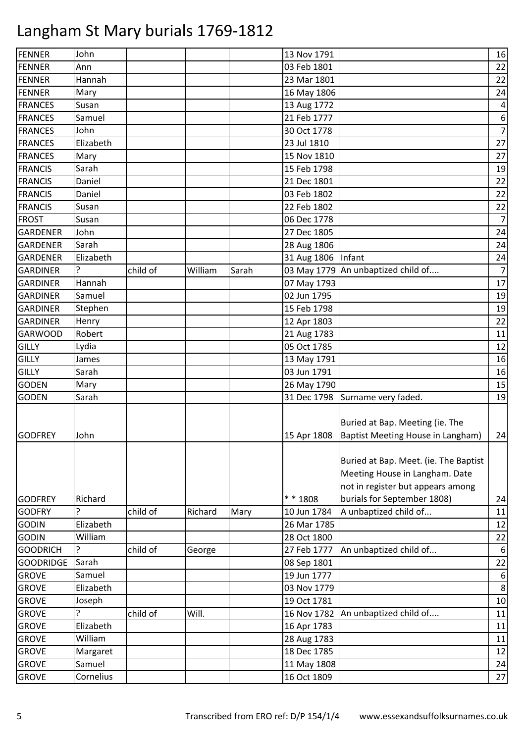| FENNER           | John      |          |         |       | 13 Nov 1791          |                                       | 16                       |
|------------------|-----------|----------|---------|-------|----------------------|---------------------------------------|--------------------------|
| <b>FENNER</b>    | Ann       |          |         |       | 03 Feb 1801          |                                       | 22                       |
| <b>FENNER</b>    | Hannah    |          |         |       | 23 Mar 1801          |                                       | 22                       |
| <b>FENNER</b>    | Mary      |          |         |       | 16 May 1806          |                                       | 24                       |
| <b>FRANCES</b>   | Susan     |          |         |       | 13 Aug 1772          |                                       | $\overline{\mathcal{A}}$ |
| <b>FRANCES</b>   | Samuel    |          |         |       | 21 Feb 1777          |                                       | $\boldsymbol{6}$         |
| <b>FRANCES</b>   | John      |          |         |       | 30 Oct 1778          |                                       | $\overline{7}$           |
| <b>FRANCES</b>   | Elizabeth |          |         |       | 23 Jul 1810          |                                       | 27                       |
| <b>FRANCES</b>   | Mary      |          |         |       | 15 Nov 1810          |                                       | 27                       |
| <b>FRANCIS</b>   | Sarah     |          |         |       | 15 Feb 1798          |                                       | 19                       |
| <b>FRANCIS</b>   | Daniel    |          |         |       | 21 Dec 1801          |                                       | 22                       |
| <b>FRANCIS</b>   | Daniel    |          |         |       | 03 Feb 1802          |                                       | 22                       |
| <b>FRANCIS</b>   | Susan     |          |         |       | 22 Feb 1802          |                                       | 22                       |
| <b>FROST</b>     | Susan     |          |         |       | 06 Dec 1778          |                                       | $\overline{7}$           |
| <b>GARDENER</b>  | John      |          |         |       | 27 Dec 1805          |                                       | 24                       |
| <b>GARDENER</b>  | Sarah     |          |         |       | 28 Aug 1806          |                                       | 24                       |
| <b>GARDENER</b>  | Elizabeth |          |         |       | 31 Aug 1806   Infant |                                       | 24                       |
| <b>GARDINER</b>  | 7         | child of | William | Sarah |                      | 03 May 1779 An unbaptized child of    | $\boldsymbol{7}$         |
| <b>GARDINER</b>  | Hannah    |          |         |       | 07 May 1793          |                                       | 17                       |
| <b>GARDINER</b>  | Samuel    |          |         |       | 02 Jun 1795          |                                       | 19                       |
| <b>GARDINER</b>  | Stephen   |          |         |       | 15 Feb 1798          |                                       | 19                       |
| <b>GARDINER</b>  | Henry     |          |         |       | 12 Apr 1803          |                                       | 22                       |
| <b>GARWOOD</b>   | Robert    |          |         |       | 21 Aug 1783          |                                       | 11                       |
| <b>GILLY</b>     | Lydia     |          |         |       | 05 Oct 1785          |                                       | 12                       |
| <b>GILLY</b>     | James     |          |         |       | 13 May 1791          |                                       | 16                       |
| <b>GILLY</b>     | Sarah     |          |         |       | 03 Jun 1791          |                                       | 16                       |
| <b>GODEN</b>     | Mary      |          |         |       | 26 May 1790          |                                       | 15                       |
| <b>GODEN</b>     | Sarah     |          |         |       |                      | 31 Dec 1798 Surname very faded.       | 19                       |
|                  |           |          |         |       |                      |                                       |                          |
|                  |           |          |         |       |                      | Buried at Bap. Meeting (ie. The       |                          |
| <b>GODFREY</b>   | John      |          |         |       | 15 Apr 1808          | Baptist Meeting House in Langham)     | 24                       |
|                  |           |          |         |       |                      |                                       |                          |
|                  |           |          |         |       |                      | Buried at Bap. Meet. (ie. The Baptist |                          |
|                  |           |          |         |       |                      | Meeting House in Langham. Date        |                          |
|                  |           |          |         |       |                      | not in register but appears among     |                          |
| <b>GODFREY</b>   | Richard   |          |         |       | $* * 1808$           | burials for September 1808)           | 24                       |
| <b>GODFRY</b>    | ?         | child of | Richard | Mary  | 10 Jun 1784          | A unbaptized child of                 | 11                       |
| <b>GODIN</b>     | Elizabeth |          |         |       | 26 Mar 1785          |                                       | 12                       |
| <b>GODIN</b>     | William   |          |         |       | 28 Oct 1800          |                                       | 22                       |
| <b>GOODRICH</b>  | ?         | child of | George  |       | 27 Feb 1777          | An unbaptized child of                | $\boldsymbol{6}$         |
| <b>GOODRIDGE</b> | Sarah     |          |         |       | 08 Sep 1801          |                                       | 22                       |
| <b>GROVE</b>     | Samuel    |          |         |       | 19 Jun 1777          |                                       | $\boldsymbol{6}$         |
| <b>GROVE</b>     | Elizabeth |          |         |       | 03 Nov 1779          |                                       | $\,8\,$                  |
| <b>GROVE</b>     | Joseph    |          |         |       | 19 Oct 1781          |                                       | 10                       |
| <b>GROVE</b>     | ?         | child of | Will.   |       | 16 Nov 1782          | An unbaptized child of                | 11                       |
| <b>GROVE</b>     | Elizabeth |          |         |       | 16 Apr 1783          |                                       | 11                       |
| <b>GROVE</b>     | William   |          |         |       | 28 Aug 1783          |                                       | 11                       |
| <b>GROVE</b>     | Margaret  |          |         |       | 18 Dec 1785          |                                       | 12                       |
| <b>GROVE</b>     | Samuel    |          |         |       | 11 May 1808          |                                       | 24                       |
| <b>GROVE</b>     | Cornelius |          |         |       | 16 Oct 1809          |                                       | 27                       |
|                  |           |          |         |       |                      |                                       |                          |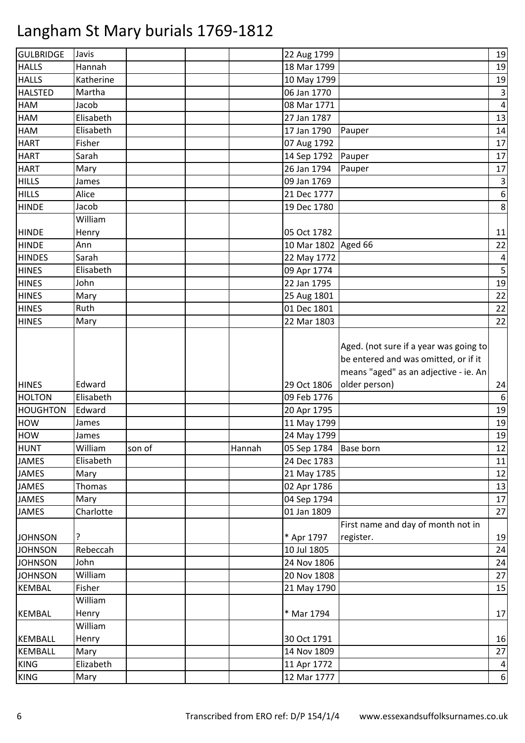| <b>GULBRIDGE</b> | Javis     |        |        | 22 Aug 1799             |                                                                                                                         | 19                      |
|------------------|-----------|--------|--------|-------------------------|-------------------------------------------------------------------------------------------------------------------------|-------------------------|
| <b>HALLS</b>     | Hannah    |        |        | 18 Mar 1799             |                                                                                                                         | 19                      |
| <b>HALLS</b>     | Katherine |        |        | 10 May 1799             |                                                                                                                         | 19                      |
| <b>HALSTED</b>   | Martha    |        |        | 06 Jan 1770             |                                                                                                                         | $\mathbf{3}$            |
| HAM              | Jacob     |        |        | 08 Mar 1771             |                                                                                                                         | $\overline{\mathbf{4}}$ |
| <b>HAM</b>       | Elisabeth |        |        | 27 Jan 1787             |                                                                                                                         | 13                      |
| HAM              | Elisabeth |        |        | 17 Jan 1790             | Pauper                                                                                                                  | 14                      |
| <b>HART</b>      | Fisher    |        |        | 07 Aug 1792             |                                                                                                                         | 17                      |
| <b>HART</b>      | Sarah     |        |        | 14 Sep 1792             | Pauper                                                                                                                  | 17                      |
| <b>HART</b>      | Mary      |        |        | 26 Jan 1794             | Pauper                                                                                                                  | 17                      |
| <b>HILLS</b>     | James     |        |        | 09 Jan 1769             |                                                                                                                         | $\mathsf 3$             |
| <b>HILLS</b>     | Alice     |        |        | 21 Dec 1777             |                                                                                                                         | $\boldsymbol{6}$        |
| <b>HINDE</b>     | Jacob     |        |        | 19 Dec 1780             |                                                                                                                         | 8                       |
|                  | William   |        |        |                         |                                                                                                                         |                         |
| <b>HINDE</b>     | Henry     |        |        | 05 Oct 1782             |                                                                                                                         | 11                      |
| <b>HINDE</b>     | Ann       |        |        | 10 Mar 1802 Aged 66     |                                                                                                                         | 22                      |
| <b>HINDES</b>    | Sarah     |        |        | 22 May 1772             |                                                                                                                         | $\overline{\mathbf{r}}$ |
| <b>HINES</b>     | Elisabeth |        |        | 09 Apr 1774             |                                                                                                                         | 5                       |
| <b>HINES</b>     | John      |        |        | 22 Jan 1795             |                                                                                                                         | 19                      |
| <b>HINES</b>     | Mary      |        |        | 25 Aug 1801             |                                                                                                                         | 22                      |
| <b>HINES</b>     | Ruth      |        |        | 01 Dec 1801             |                                                                                                                         | 22                      |
| <b>HINES</b>     | Mary      |        |        | 22 Mar 1803             |                                                                                                                         | 22                      |
|                  |           |        |        |                         | Aged. (not sure if a year was going to<br>be entered and was omitted, or if it<br>means "aged" as an adjective - ie. An |                         |
| <b>HINES</b>     | Edward    |        |        | 29 Oct 1806             | older person)                                                                                                           | 24                      |
| <b>HOLTON</b>    | Elisabeth |        |        | 09 Feb 1776             |                                                                                                                         | $\boldsymbol{6}$        |
| <b>HOUGHTON</b>  | Edward    |        |        | 20 Apr 1795             |                                                                                                                         | 19                      |
| <b>HOW</b>       | James     |        |        | 11 May 1799             |                                                                                                                         | 19                      |
| <b>HOW</b>       | James     |        |        | 24 May 1799             |                                                                                                                         | 19                      |
| <b>HUNT</b>      | William   | son of | Hannah | 05 Sep 1784   Base born |                                                                                                                         | 12                      |
| <b>JAMES</b>     | Elisabeth |        |        | 24 Dec 1783             |                                                                                                                         | 11                      |
| <b>JAMES</b>     | Mary      |        |        | 21 May 1785             |                                                                                                                         | 12                      |
| <b>JAMES</b>     | Thomas    |        |        | 02 Apr 1786             |                                                                                                                         | 13                      |
| <b>JAMES</b>     | Mary      |        |        | 04 Sep 1794             |                                                                                                                         | 17                      |
| <b>JAMES</b>     | Charlotte |        |        | 01 Jan 1809             |                                                                                                                         | 27                      |
| <b>JOHNSON</b>   |           |        |        | * Apr 1797              | First name and day of month not in<br>register.                                                                         | 19                      |
| <b>JOHNSON</b>   | Rebeccah  |        |        | 10 Jul 1805             |                                                                                                                         | 24                      |
| <b>JOHNSON</b>   | John      |        |        | 24 Nov 1806             |                                                                                                                         | 24                      |
| <b>JOHNSON</b>   | William   |        |        | 20 Nov 1808             |                                                                                                                         | 27                      |
| <b>KEMBAL</b>    | Fisher    |        |        | 21 May 1790             |                                                                                                                         | 15                      |
|                  | William   |        |        |                         |                                                                                                                         |                         |
| <b>KEMBAL</b>    | Henry     |        |        | * Mar 1794              |                                                                                                                         | 17                      |
|                  | William   |        |        |                         |                                                                                                                         |                         |
| <b>KEMBALL</b>   | Henry     |        |        | 30 Oct 1791             |                                                                                                                         | 16                      |
| <b>KEMBALL</b>   | Mary      |        |        | 14 Nov 1809             |                                                                                                                         | 27                      |
| <b>KING</b>      | Elizabeth |        |        | 11 Apr 1772             |                                                                                                                         | $\vert 4 \vert$         |
| <b>KING</b>      | Mary      |        |        | 12 Mar 1777             |                                                                                                                         | $6 \mid$                |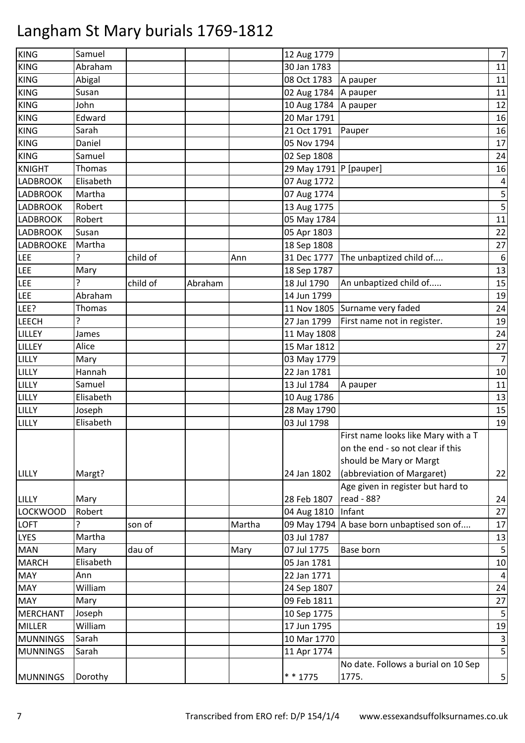| KING             | Samuel    |          |         |        | 12 Aug 1779              |                                     | $\overline{7}$ |
|------------------|-----------|----------|---------|--------|--------------------------|-------------------------------------|----------------|
| <b>KING</b>      | Abraham   |          |         |        | 30 Jan 1783              |                                     | 11             |
| <b>KING</b>      | Abigal    |          |         |        | 08 Oct 1783              | A pauper                            | 11             |
| <b>KING</b>      | Susan     |          |         |        | 02 Aug 1784              | A pauper                            | 11             |
| <b>KING</b>      | John      |          |         |        | 10 Aug 1784              | A pauper                            | 12             |
| <b>KING</b>      | Edward    |          |         |        | 20 Mar 1791              |                                     | 16             |
| <b>KING</b>      | Sarah     |          |         |        | 21 Oct 1791              | Pauper                              | 16             |
| <b>KING</b>      | Daniel    |          |         |        | 05 Nov 1794              |                                     | 17             |
| <b>KING</b>      | Samuel    |          |         |        | 02 Sep 1808              |                                     | 24             |
| <b>KNIGHT</b>    | Thomas    |          |         |        | 29 May 1791   P [pauper] |                                     | 16             |
| <b>LADBROOK</b>  | Elisabeth |          |         |        | 07 Aug 1772              |                                     | 4              |
| <b>LADBROOK</b>  | Martha    |          |         |        | 07 Aug 1774              |                                     | 5              |
| <b>LADBROOK</b>  | Robert    |          |         |        | 13 Aug 1775              |                                     |                |
| <b>LADBROOK</b>  | Robert    |          |         |        | 05 May 1784              |                                     | 11             |
| <b>LADBROOK</b>  | Susan     |          |         |        | 05 Apr 1803              |                                     | 22             |
| <b>LADBROOKE</b> | Martha    |          |         |        | 18 Sep 1808              |                                     | 27             |
| <b>LEE</b>       | ?         | child of |         | Ann    | 31 Dec 1777              | The unbaptized child of             | 6              |
| <b>LEE</b>       | Mary      |          |         |        | 18 Sep 1787              |                                     | 13             |
| <b>LEE</b>       | ?         | child of | Abraham |        | 18 Jul 1790              | An unbaptized child of              | 15             |
| LEE              | Abraham   |          |         |        | 14 Jun 1799              |                                     | 19             |
| LEE?             | Thomas    |          |         |        |                          | 11 Nov 1805 Surname very faded      | 24             |
| <b>LEECH</b>     | ?         |          |         |        | 27 Jan 1799              | First name not in register.         | 19             |
| <b>LILLEY</b>    | James     |          |         |        | 11 May 1808              |                                     | 24             |
| LILLEY           | Alice     |          |         |        | 15 Mar 1812              |                                     | 27             |
| LILLY            | Mary      |          |         |        | 03 May 1779              |                                     | $\overline{7}$ |
| LILLY            | Hannah    |          |         |        | 22 Jan 1781              |                                     | 10             |
| LILLY            | Samuel    |          |         |        | 13 Jul 1784              | A pauper                            | 11             |
| LILLY            | Elisabeth |          |         |        | 10 Aug 1786              |                                     | 13             |
| LILLY            | Joseph    |          |         |        | 28 May 1790              |                                     | 15             |
| LILLY            | Elisabeth |          |         |        | 03 Jul 1798              |                                     | 19             |
|                  |           |          |         |        |                          | First name looks like Mary with a T |                |
|                  |           |          |         |        |                          | on the end - so not clear if this   |                |
|                  |           |          |         |        |                          | should be Mary or Margt             |                |
| LILLY            | Margt?    |          |         |        | 24 Jan 1802              | (abbreviation of Margaret)          | 22             |
|                  |           |          |         |        |                          | Age given in register but hard to   |                |
| <b>LILLY</b>     | Mary      |          |         |        | 28 Feb 1807              | read - 88?                          | 24             |
| <b>LOCKWOOD</b>  | Robert    |          |         |        | 04 Aug 1810              | Infant                              | 27             |
| <b>LOFT</b>      | ŗ         | son of   |         | Martha | 09 May 1794              | A base born unbaptised son of       | 17             |
| <b>LYES</b>      | Martha    |          |         |        | 03 Jul 1787              |                                     | 13             |
| <b>MAN</b>       | Mary      | dau of   |         | Mary   | 07 Jul 1775              | Base born                           | 5              |
| <b>MARCH</b>     | Elisabeth |          |         |        | 05 Jan 1781              |                                     | 10             |
| <b>MAY</b>       | Ann       |          |         |        | 22 Jan 1771              |                                     | 4              |
| <b>MAY</b>       | William   |          |         |        | 24 Sep 1807              |                                     | 24             |
| <b>MAY</b>       | Mary      |          |         |        | 09 Feb 1811              |                                     | 27             |
| <b>MERCHANT</b>  | Joseph    |          |         |        | 10 Sep 1775              |                                     | 5              |
| <b>MILLER</b>    | William   |          |         |        | 17 Jun 1795              |                                     | 19             |
| <b>MUNNINGS</b>  | Sarah     |          |         |        | 10 Mar 1770              |                                     | 3              |
| <b>MUNNINGS</b>  | Sarah     |          |         |        | 11 Apr 1774              |                                     | 5              |
|                  |           |          |         |        |                          | No date. Follows a burial on 10 Sep |                |
| <b>MUNNINGS</b>  | Dorothy   |          |         |        | $* * 1775$               | 1775.                               | 5              |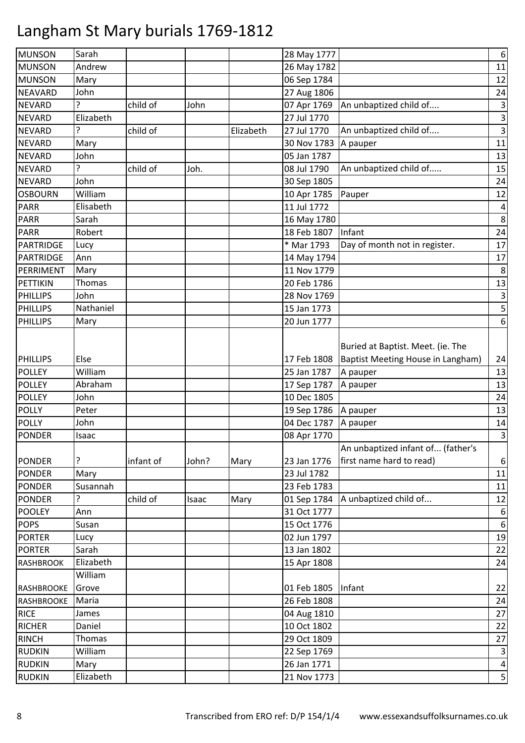| <b>MUNSON</b>     | Sarah     |           |       |           | 28 May 1777 |                                   | $\boldsymbol{6}$          |
|-------------------|-----------|-----------|-------|-----------|-------------|-----------------------------------|---------------------------|
| <b>MUNSON</b>     | Andrew    |           |       |           | 26 May 1782 |                                   | 11                        |
| <b>MUNSON</b>     | Mary      |           |       |           | 06 Sep 1784 |                                   | 12                        |
| NEAVARD           | John      |           |       |           | 27 Aug 1806 |                                   | 24                        |
| <b>NEVARD</b>     | 7         | child of  | John  |           | 07 Apr 1769 | An unbaptized child of            | $\ensuremath{\mathsf{3}}$ |
| <b>NEVARD</b>     | Elizabeth |           |       |           | 27 Jul 1770 |                                   | $\mathsf{3}$              |
| <b>NEVARD</b>     | ?         | child of  |       | Elizabeth | 27 Jul 1770 | An unbaptized child of            | $\overline{\mathbf{3}}$   |
| <b>NEVARD</b>     | Mary      |           |       |           | 30 Nov 1783 | A pauper                          | $11\,$                    |
| <b>NEVARD</b>     | John      |           |       |           | 05 Jan 1787 |                                   | 13                        |
| <b>NEVARD</b>     | ?         | child of  | Joh.  |           | 08 Jul 1790 | An unbaptized child of            | 15                        |
| <b>NEVARD</b>     | John      |           |       |           | 30 Sep 1805 |                                   | 24                        |
| <b>OSBOURN</b>    | William   |           |       |           | 10 Apr 1785 | Pauper                            | 12                        |
| <b>PARR</b>       | Elisabeth |           |       |           | 11 Jul 1772 |                                   | $\overline{\mathbf{4}}$   |
| <b>PARR</b>       | Sarah     |           |       |           | 16 May 1780 |                                   | 8                         |
| <b>PARR</b>       | Robert    |           |       |           | 18 Feb 1807 | Infant                            | 24                        |
| PARTRIDGE         | Lucy      |           |       |           | * Mar 1793  | Day of month not in register.     | 17                        |
| <b>PARTRIDGE</b>  | Ann       |           |       |           | 14 May 1794 |                                   | 17                        |
| PERRIMENT         | Mary      |           |       |           | 11 Nov 1779 |                                   | $\,8\,$                   |
| PETTIKIN          | Thomas    |           |       |           | 20 Feb 1786 |                                   | 13                        |
| PHILLIPS          | John      |           |       |           | 28 Nov 1769 |                                   | $\ensuremath{\mathsf{3}}$ |
| PHILLIPS          | Nathaniel |           |       |           | 15 Jan 1773 |                                   | $\overline{5}$            |
| <b>PHILLIPS</b>   | Mary      |           |       |           | 20 Jun 1777 |                                   | $\boldsymbol{6}$          |
|                   |           |           |       |           |             |                                   |                           |
|                   |           |           |       |           |             | Buried at Baptist. Meet. (ie. The |                           |
| <b>PHILLIPS</b>   | Else      |           |       |           | 17 Feb 1808 | Baptist Meeting House in Langham) | 24                        |
| <b>POLLEY</b>     | William   |           |       |           | 25 Jan 1787 | A pauper                          | 13                        |
| <b>POLLEY</b>     | Abraham   |           |       |           | 17 Sep 1787 | A pauper                          | 13                        |
| <b>POLLEY</b>     | John      |           |       |           | 10 Dec 1805 |                                   | 24                        |
| <b>POLLY</b>      | Peter     |           |       |           | 19 Sep 1786 | A pauper                          | 13                        |
| <b>POLLY</b>      | John      |           |       |           | 04 Dec 1787 | A pauper                          | 14                        |
| PONDER            | Isaac     |           |       |           | 08 Apr 1770 |                                   | $\overline{3}$            |
|                   |           |           |       |           |             | An unbaptized infant of (father's |                           |
| <b>PONDER</b>     | ?         | infant of | John? | Mary      | 23 Jan 1776 | first name hard to read)          | $\boldsymbol{6}$          |
| <b>PONDER</b>     | Mary      |           |       |           | 23 Jul 1782 |                                   | 11                        |
| <b>PONDER</b>     | Susannah  |           |       |           | 23 Feb 1783 |                                   | $11\,$                    |
| <b>PONDER</b>     | 5.        | child of  | Isaac | Mary      | 01 Sep 1784 | A unbaptized child of             | 12                        |
| <b>POOLEY</b>     | Ann       |           |       |           | 31 Oct 1777 |                                   | $\boldsymbol{6}$          |
| <b>POPS</b>       | Susan     |           |       |           | 15 Oct 1776 |                                   | $\boldsymbol{6}$          |
| <b>PORTER</b>     | Lucy      |           |       |           | 02 Jun 1797 |                                   | 19                        |
| <b>PORTER</b>     | Sarah     |           |       |           | 13 Jan 1802 |                                   | 22                        |
| <b>RASHBROOK</b>  | Elizabeth |           |       |           | 15 Apr 1808 |                                   | 24                        |
|                   | William   |           |       |           |             |                                   |                           |
| <b>RASHBROOKE</b> | Grove     |           |       |           | 01 Feb 1805 | Infant                            | 22                        |
| <b>RASHBROOKE</b> | Maria     |           |       |           | 26 Feb 1808 |                                   | 24                        |
| <b>RICE</b>       | James     |           |       |           | 04 Aug 1810 |                                   | 27                        |
| <b>RICHER</b>     | Daniel    |           |       |           | 10 Oct 1802 |                                   | 22                        |
| <b>RINCH</b>      | Thomas    |           |       |           | 29 Oct 1809 |                                   | 27                        |
| <b>RUDKIN</b>     | William   |           |       |           | 22 Sep 1769 |                                   | $\mathbf{3}$              |
| <b>RUDKIN</b>     | Mary      |           |       |           | 26 Jan 1771 |                                   | $\overline{\mathbf{4}}$   |
| <b>RUDKIN</b>     | Elizabeth |           |       |           | 21 Nov 1773 |                                   |                           |
|                   |           |           |       |           |             |                                   | $\overline{5}$            |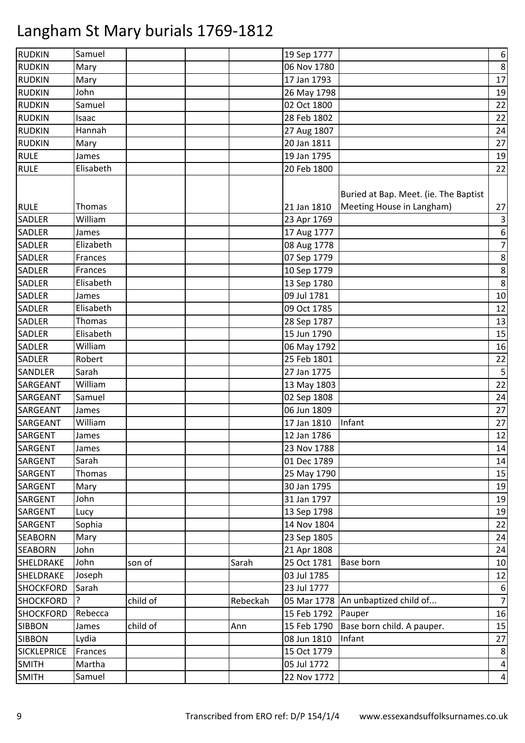| <b>RUDKIN</b>                | Samuel             |          |          | 19 Sep 1777 |                                                                    | $\boldsymbol{6}$              |
|------------------------------|--------------------|----------|----------|-------------|--------------------------------------------------------------------|-------------------------------|
| <b>RUDKIN</b>                | Mary               |          |          | 06 Nov 1780 |                                                                    | $\,8\,$                       |
| <b>RUDKIN</b>                | Mary               |          |          | 17 Jan 1793 |                                                                    | 17                            |
| <b>RUDKIN</b>                | John               |          |          | 26 May 1798 |                                                                    | 19                            |
| <b>RUDKIN</b>                | Samuel             |          |          | 02 Oct 1800 |                                                                    | 22                            |
| <b>RUDKIN</b>                | Isaac              |          |          | 28 Feb 1802 |                                                                    | 22                            |
| <b>RUDKIN</b>                | Hannah             |          |          | 27 Aug 1807 |                                                                    | 24                            |
| <b>RUDKIN</b>                | Mary               |          |          | 20 Jan 1811 |                                                                    | 27                            |
| <b>RULE</b>                  | James              |          |          | 19 Jan 1795 |                                                                    | 19                            |
| <b>RULE</b>                  | Elisabeth          |          |          | 20 Feb 1800 |                                                                    | 22                            |
| <b>RULE</b><br><b>SADLER</b> | Thomas<br>William  |          |          | 21 Jan 1810 | Buried at Bap. Meet. (ie. The Baptist<br>Meeting House in Langham) | 27<br>$\overline{\mathbf{3}}$ |
|                              |                    |          |          | 23 Apr 1769 |                                                                    |                               |
| <b>SADLER</b>                | James<br>Elizabeth |          |          | 17 Aug 1777 |                                                                    | $\boldsymbol{6}$              |
| <b>SADLER</b>                |                    |          |          | 08 Aug 1778 |                                                                    | $\overline{7}$                |
| <b>SADLER</b>                | Frances            |          |          | 07 Sep 1779 |                                                                    | $\bf 8$                       |
| <b>SADLER</b>                | Frances            |          |          | 10 Sep 1779 |                                                                    | $\bf 8$                       |
| <b>SADLER</b>                | Elisabeth          |          |          | 13 Sep 1780 |                                                                    | $\,8\,$                       |
| <b>SADLER</b>                | James              |          |          | 09 Jul 1781 |                                                                    | 10                            |
| <b>SADLER</b>                | Elisabeth          |          |          | 09 Oct 1785 |                                                                    | 12                            |
| <b>SADLER</b>                | Thomas             |          |          | 28 Sep 1787 |                                                                    | 13                            |
| <b>SADLER</b>                | Elisabeth          |          |          | 15 Jun 1790 |                                                                    | 15                            |
| <b>SADLER</b>                | William            |          |          | 06 May 1792 |                                                                    | 16                            |
| <b>SADLER</b>                | Robert             |          |          | 25 Feb 1801 |                                                                    | 22                            |
| <b>SANDLER</b>               | Sarah              |          |          | 27 Jan 1775 |                                                                    | 5                             |
| <b>SARGEANT</b>              | William            |          |          | 13 May 1803 |                                                                    | 22                            |
| SARGEANT                     | Samuel             |          |          | 02 Sep 1808 |                                                                    | 24                            |
| <b>SARGEANT</b>              | James              |          |          | 06 Jun 1809 |                                                                    | 27                            |
| SARGEANT                     | William            |          |          | 17 Jan 1810 | Infant                                                             | 27                            |
| SARGENT                      | James              |          |          | 12 Jan 1786 |                                                                    | 12                            |
| SARGENT                      | James              |          |          | 23 Nov 1788 |                                                                    | 14                            |
| SARGENT                      | Sarah              |          |          | 01 Dec 1789 |                                                                    | 14                            |
| SARGENT                      | Thomas             |          |          | 25 May 1790 |                                                                    | 15                            |
| SARGENT                      | Mary               |          |          | 30 Jan 1795 |                                                                    | 19                            |
| SARGENT                      | John               |          |          | 31 Jan 1797 |                                                                    | 19                            |
| SARGENT                      | Lucy               |          |          | 13 Sep 1798 |                                                                    | 19                            |
| SARGENT                      | Sophia             |          |          | 14 Nov 1804 |                                                                    | 22                            |
| <b>SEABORN</b>               | Mary               |          |          | 23 Sep 1805 |                                                                    | 24                            |
| <b>SEABORN</b>               | John               |          |          | 21 Apr 1808 |                                                                    | 24                            |
| SHELDRAKE                    | John               | son of   | Sarah    | 25 Oct 1781 | Base born                                                          | 10                            |
| SHELDRAKE                    | Joseph             |          |          | 03 Jul 1785 |                                                                    | 12                            |
| <b>SHOCKFORD</b>             | Sarah              |          |          | 23 Jul 1777 |                                                                    | $\boldsymbol{6}$              |
| <b>SHOCKFORD</b>             | ?                  | child of | Rebeckah |             | 05 Mar 1778   An unbaptized child of                               | $\overline{7}$                |
| <b>SHOCKFORD</b>             | Rebecca            |          |          | 15 Feb 1792 | Pauper                                                             | 16                            |
| <b>SIBBON</b>                | James              | child of | Ann      | 15 Feb 1790 | Base born child. A pauper.                                         | 15                            |
| <b>SIBBON</b>                | Lydia              |          |          | 08 Jun 1810 | Infant                                                             | 27                            |
| <b>SICKLEPRICE</b>           | Frances            |          |          | 15 Oct 1779 |                                                                    | 8                             |
| <b>SMITH</b>                 | Martha             |          |          | 05 Jul 1772 |                                                                    | $\overline{\mathbf{4}}$       |
| <b>SMITH</b>                 | Samuel             |          |          | 22 Nov 1772 |                                                                    | $\overline{\mathbf{4}}$       |
|                              |                    |          |          |             |                                                                    |                               |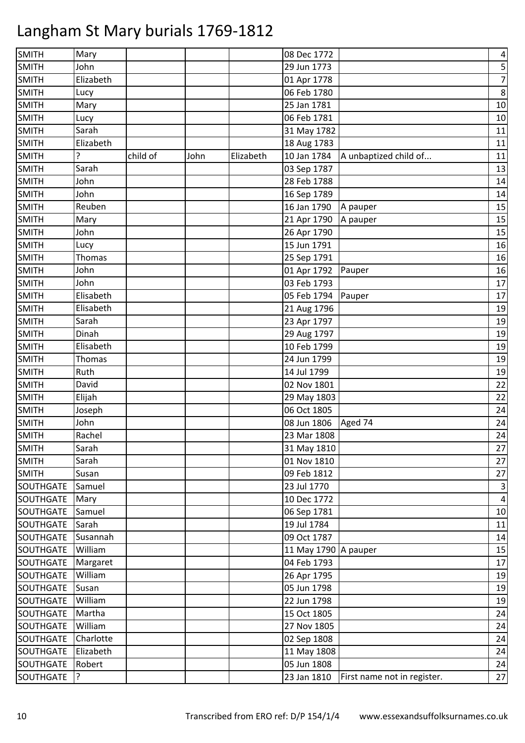| SMITH            | Mary          |          |      |           | 08 Dec 1772 |                             | 4                       |
|------------------|---------------|----------|------|-----------|-------------|-----------------------------|-------------------------|
| <b>SMITH</b>     | John          |          |      |           | 29 Jun 1773 |                             | 5                       |
| <b>SMITH</b>     | Elizabeth     |          |      |           | 01 Apr 1778 |                             | $\overline{7}$          |
| <b>SMITH</b>     | Lucy          |          |      |           | 06 Feb 1780 |                             | 8                       |
| <b>SMITH</b>     | Mary          |          |      |           | 25 Jan 1781 |                             | 10                      |
| <b>SMITH</b>     | Lucy          |          |      |           | 06 Feb 1781 |                             | 10                      |
| <b>SMITH</b>     | Sarah         |          |      |           | 31 May 1782 |                             | 11                      |
| <b>SMITH</b>     | Elizabeth     |          |      |           | 18 Aug 1783 |                             | 11                      |
| <b>SMITH</b>     | 7             | child of | John | Elizabeth | 10 Jan 1784 | A unbaptized child of       | 11                      |
| <b>SMITH</b>     | Sarah         |          |      |           | 03 Sep 1787 |                             | 13                      |
| <b>SMITH</b>     | John          |          |      |           | 28 Feb 1788 |                             | 14                      |
| <b>SMITH</b>     | John          |          |      |           | 16 Sep 1789 |                             | 14                      |
| <b>SMITH</b>     | Reuben        |          |      |           | 16 Jan 1790 | A pauper                    | 15                      |
| <b>SMITH</b>     | Mary          |          |      |           | 21 Apr 1790 | A pauper                    | 15                      |
| <b>SMITH</b>     | John          |          |      |           | 26 Apr 1790 |                             | 15                      |
| <b>SMITH</b>     | Lucy          |          |      |           | 15 Jun 1791 |                             | 16                      |
| <b>SMITH</b>     | <b>Thomas</b> |          |      |           | 25 Sep 1791 |                             | 16                      |
| <b>SMITH</b>     | John          |          |      |           | 01 Apr 1792 | Pauper                      | 16                      |
| <b>SMITH</b>     | John          |          |      |           | 03 Feb 1793 |                             | 17                      |
| <b>SMITH</b>     | Elisabeth     |          |      |           | 05 Feb 1794 | Pauper                      | 17                      |
| <b>SMITH</b>     | Elisabeth     |          |      |           | 21 Aug 1796 |                             | 19                      |
| <b>SMITH</b>     | Sarah         |          |      |           | 23 Apr 1797 |                             | 19                      |
| <b>SMITH</b>     | Dinah         |          |      |           | 29 Aug 1797 |                             | 19                      |
| <b>SMITH</b>     | Elisabeth     |          |      |           | 10 Feb 1799 |                             | 19                      |
| <b>SMITH</b>     | <b>Thomas</b> |          |      |           | 24 Jun 1799 |                             | 19                      |
| <b>SMITH</b>     | Ruth          |          |      |           | 14 Jul 1799 |                             | 19                      |
| <b>SMITH</b>     | David         |          |      |           | 02 Nov 1801 |                             | 22                      |
| <b>SMITH</b>     | Elijah        |          |      |           | 29 May 1803 |                             | 22                      |
| <b>SMITH</b>     | Joseph        |          |      |           | 06 Oct 1805 |                             | 24                      |
| <b>SMITH</b>     | John          |          |      |           | 08 Jun 1806 | Aged 74                     | 24                      |
| <b>SMITH</b>     | Rachel        |          |      |           | 23 Mar 1808 |                             | 24                      |
| <b>SMITH</b>     | Sarah         |          |      |           | 31 May 1810 |                             | 27                      |
| <b>SMITH</b>     | Sarah         |          |      |           | 01 Nov 1810 |                             | 27                      |
| <b>SMITH</b>     | Susan         |          |      |           | 09 Feb 1812 |                             | 27                      |
| <b>SOUTHGATE</b> | Samuel        |          |      |           | 23 Jul 1770 |                             | $\mathsf 3$             |
| SOUTHGATE        | Mary          |          |      |           | 10 Dec 1772 |                             | $\overline{\mathbf{4}}$ |
| SOUTHGATE        | Samuel        |          |      |           | 06 Sep 1781 |                             | 10                      |
| SOUTHGATE        | Sarah         |          |      |           | 19 Jul 1784 |                             | 11                      |
| SOUTHGATE        | Susannah      |          |      |           | 09 Oct 1787 |                             | 14                      |
| SOUTHGATE        | William       |          |      |           | 11 May 1790 | A pauper                    | 15                      |
| SOUTHGATE        | Margaret      |          |      |           | 04 Feb 1793 |                             | 17                      |
| <b>SOUTHGATE</b> | William       |          |      |           | 26 Apr 1795 |                             | 19                      |
| SOUTHGATE        | Susan         |          |      |           | 05 Jun 1798 |                             | 19                      |
| SOUTHGATE        | William       |          |      |           | 22 Jun 1798 |                             | 19                      |
| SOUTHGATE        | Martha        |          |      |           | 15 Oct 1805 |                             | 24                      |
| SOUTHGATE        | William       |          |      |           | 27 Nov 1805 |                             | 24                      |
| SOUTHGATE        | Charlotte     |          |      |           | 02 Sep 1808 |                             | 24                      |
| SOUTHGATE        | Elizabeth     |          |      |           | 11 May 1808 |                             | 24                      |
| SOUTHGATE        | Robert        |          |      |           | 05 Jun 1808 |                             | 24                      |
| SOUTHGATE        | 3             |          |      |           | 23 Jan 1810 | First name not in register. | 27                      |
|                  |               |          |      |           |             |                             |                         |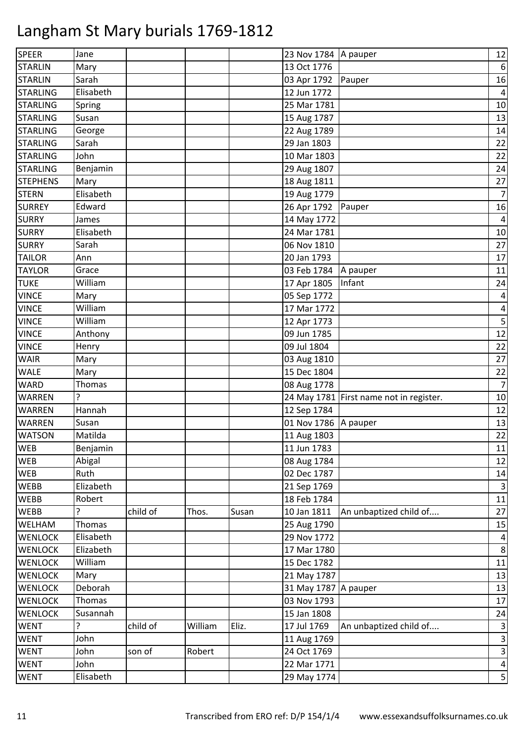| <b>SPEER</b>    | Jane      |          |         |       | 23 Nov 1784   A pauper |                                         | 12               |
|-----------------|-----------|----------|---------|-------|------------------------|-----------------------------------------|------------------|
| <b>STARLIN</b>  | Mary      |          |         |       | 13 Oct 1776            |                                         | $\boldsymbol{6}$ |
| <b>STARLIN</b>  | Sarah     |          |         |       | 03 Apr 1792            | Pauper                                  | 16               |
| <b>STARLING</b> | Elisabeth |          |         |       | 12 Jun 1772            |                                         | $\overline{4}$   |
| <b>STARLING</b> | Spring    |          |         |       | 25 Mar 1781            |                                         | 10               |
| <b>STARLING</b> | Susan     |          |         |       | 15 Aug 1787            |                                         | 13               |
| <b>STARLING</b> | George    |          |         |       | 22 Aug 1789            |                                         | 14               |
| <b>STARLING</b> | Sarah     |          |         |       | 29 Jan 1803            |                                         | 22               |
| <b>STARLING</b> | John      |          |         |       | 10 Mar 1803            |                                         | 22               |
| <b>STARLING</b> | Benjamin  |          |         |       | 29 Aug 1807            |                                         | 24               |
| <b>STEPHENS</b> | Mary      |          |         |       | 18 Aug 1811            |                                         | 27               |
| <b>STERN</b>    | Elisabeth |          |         |       | 19 Aug 1779            |                                         | $\overline{7}$   |
| <b>SURREY</b>   | Edward    |          |         |       | 26 Apr 1792            | Pauper                                  | 16               |
| <b>SURRY</b>    | James     |          |         |       | 14 May 1772            |                                         | $\overline{4}$   |
| <b>SURRY</b>    | Elisabeth |          |         |       | 24 Mar 1781            |                                         | 10               |
| <b>SURRY</b>    | Sarah     |          |         |       | 06 Nov 1810            |                                         | 27               |
| <b>TAILOR</b>   | Ann       |          |         |       | 20 Jan 1793            |                                         | 17               |
| <b>TAYLOR</b>   | Grace     |          |         |       | 03 Feb 1784            | A pauper                                | 11               |
| <b>TUKE</b>     | William   |          |         |       | 17 Apr 1805            | Infant                                  | 24               |
| <b>VINCE</b>    | Mary      |          |         |       | 05 Sep 1772            |                                         | 4                |
| <b>VINCE</b>    | William   |          |         |       | 17 Mar 1772            |                                         | 4                |
| <b>VINCE</b>    | William   |          |         |       | 12 Apr 1773            |                                         | 5                |
| <b>VINCE</b>    | Anthony   |          |         |       | 09 Jun 1785            |                                         | 12               |
| <b>VINCE</b>    | Henry     |          |         |       | 09 Jul 1804            |                                         | 22               |
| <b>WAIR</b>     | Mary      |          |         |       | 03 Aug 1810            |                                         | 27               |
| <b>WALE</b>     | Mary      |          |         |       | 15 Dec 1804            |                                         | 22               |
| <b>WARD</b>     | Thomas    |          |         |       | 08 Aug 1778            |                                         | $\overline{7}$   |
| <b>WARREN</b>   | ?         |          |         |       |                        | 24 May 1781 First name not in register. | 10               |
| <b>WARREN</b>   | Hannah    |          |         |       | 12 Sep 1784            |                                         | 12               |
| <b>WARREN</b>   | Susan     |          |         |       | 01 Nov 1786            | A pauper                                | 13               |
| <b>WATSON</b>   | Matilda   |          |         |       | 11 Aug 1803            |                                         | 22               |
| <b>WEB</b>      | Benjamin  |          |         |       | 11 Jun 1783            |                                         | 11               |
| <b>WEB</b>      | Abigal    |          |         |       | 08 Aug 1784            |                                         | 12               |
| <b>WEB</b>      | Ruth      |          |         |       | 02 Dec 1787            |                                         | 14               |
| <b>WEBB</b>     | Elizabeth |          |         |       | 21 Sep 1769            |                                         | $\mathsf 3$      |
| <b>WEBB</b>     | Robert    |          |         |       | 18 Feb 1784            |                                         | 11               |
| <b>WEBB</b>     | ?         | child of | Thos.   | Susan | 10 Jan 1811            | An unbaptized child of                  | 27               |
| WELHAM          | Thomas    |          |         |       | 25 Aug 1790            |                                         | 15               |
| <b>WENLOCK</b>  | Elisabeth |          |         |       | 29 Nov 1772            |                                         | $\overline{4}$   |
| <b>WENLOCK</b>  | Elizabeth |          |         |       | 17 Mar 1780            |                                         | 8                |
| <b>WENLOCK</b>  | William   |          |         |       | 15 Dec 1782            |                                         | 11               |
| <b>WENLOCK</b>  | Mary      |          |         |       | 21 May 1787            |                                         | 13               |
| <b>WENLOCK</b>  | Deborah   |          |         |       | 31 May 1787            | A pauper                                | 13               |
| <b>WENLOCK</b>  | Thomas    |          |         |       | 03 Nov 1793            |                                         | 17               |
| <b>WENLOCK</b>  | Susannah  |          |         |       | 15 Jan 1808            |                                         | 24               |
| <b>WENT</b>     | ?         | child of | William | Eliz. | 17 Jul 1769            | An unbaptized child of                  | $\mathsf 3$      |
| <b>WENT</b>     | John      |          |         |       | 11 Aug 1769            |                                         | $\mathsf{3}$     |
| <b>WENT</b>     | John      | son of   | Robert  |       | 24 Oct 1769            |                                         | $\mathsf 3$      |
| <b>WENT</b>     | John      |          |         |       | 22 Mar 1771            |                                         | $\overline{4}$   |
| WENT            | Elisabeth |          |         |       | 29 May 1774            |                                         | 5                |
|                 |           |          |         |       |                        |                                         |                  |